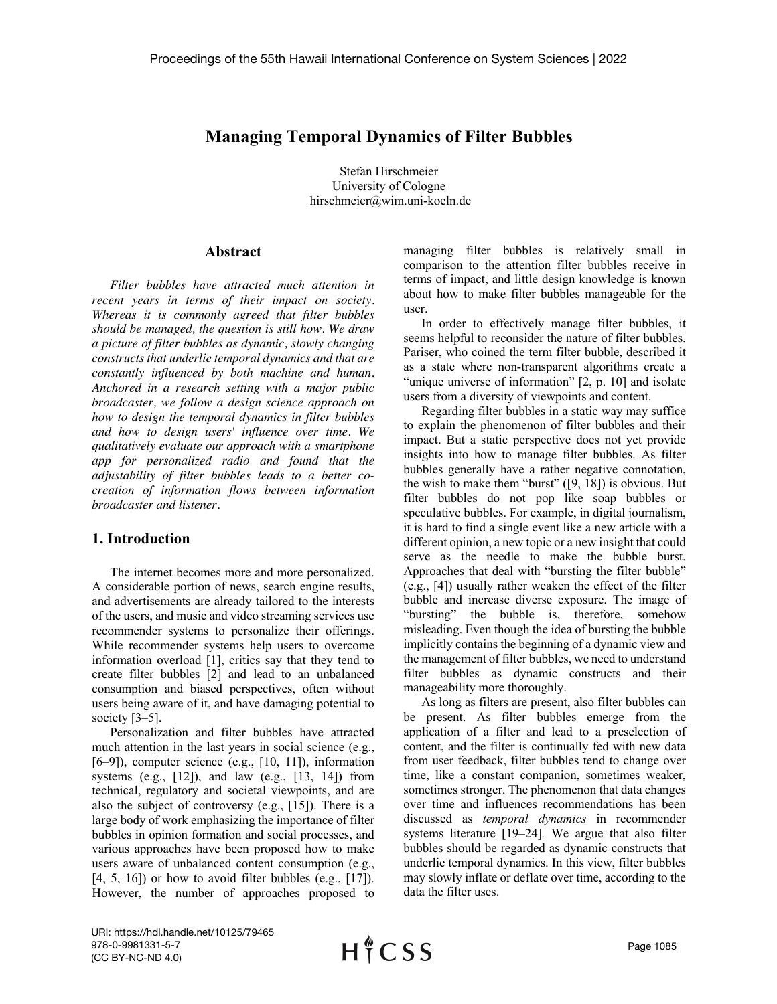# **Managing Temporal Dynamics of Filter Bubbles**

Stefan Hirschmeier University of Cologne hirschmeier@wim.uni-koeln.de :)

## **Abstract**

*Filter bubbles have attracted much attention in recent years in terms of their impact on society. Whereas it is commonly agreed that filter bubbles should be managed, the question is still how. We draw a picture of filter bubbles as dynamic, slowly changing constructs that underlie temporal dynamics and that are constantly influenced by both machine and human. Anchored in a research setting with a major public broadcaster, we follow a design science approach on how to design the temporal dynamics in filter bubbles and how to design users' influence over time. We qualitatively evaluate our approach with a smartphone app for personalized radio and found that the adjustability of filter bubbles leads to a better cocreation of information flows between information broadcaster and listener.*

#### **1. Introduction**

The internet becomes more and more personalized. A considerable portion of news, search engine results, and advertisements are already tailored to the interests of the users, and music and video streaming services use recommender systems to personalize their offerings. While recommender systems help users to overcome information overload [1], critics say that they tend to create filter bubbles [2] and lead to an unbalanced consumption and biased perspectives, often without users being aware of it, and have damaging potential to society [3–5].

Personalization and filter bubbles have attracted much attention in the last years in social science (e.g.,  $[6–9]$ , computer science (e.g.,  $[10, 11]$ ), information systems (e.g.,  $[12]$ ), and law (e.g.,  $[13, 14]$ ) from technical, regulatory and societal viewpoints, and are also the subject of controversy (e.g., [15]). There is a large body of work emphasizing the importance of filter bubbles in opinion formation and social processes, and various approaches have been proposed how to make users aware of unbalanced content consumption (e.g.,  $[4, 5, 16]$  or how to avoid filter bubbles (e.g.,  $[17]$ ). However, the number of approaches proposed to managing filter bubbles is relatively small in comparison to the attention filter bubbles receive in terms of impact, and little design knowledge is known about how to make filter bubbles manageable for the user.

In order to effectively manage filter bubbles, it seems helpful to reconsider the nature of filter bubbles. Pariser, who coined the term filter bubble, described it as a state where non-transparent algorithms create a "unique universe of information" [2, p. 10] and isolate users from a diversity of viewpoints and content.

Regarding filter bubbles in a static way may suffice to explain the phenomenon of filter bubbles and their impact. But a static perspective does not yet provide insights into how to manage filter bubbles. As filter bubbles generally have a rather negative connotation, the wish to make them "burst"  $([9, 18])$  is obvious. But filter bubbles do not pop like soap bubbles or speculative bubbles. For example, in digital journalism, it is hard to find a single event like a new article with a different opinion, a new topic or a new insight that could serve as the needle to make the bubble burst. Approaches that deal with "bursting the filter bubble" (e.g., [4]) usually rather weaken the effect of the filter bubble and increase diverse exposure. The image of "bursting" the bubble is, therefore, somehow misleading. Even though the idea of bursting the bubble implicitly contains the beginning of a dynamic view and the management of filter bubbles, we need to understand filter bubbles as dynamic constructs and their manageability more thoroughly.

As long as filters are present, also filter bubbles can be present. As filter bubbles emerge from the application of a filter and lead to a preselection of content, and the filter is continually fed with new data from user feedback, filter bubbles tend to change over time, like a constant companion, sometimes weaker, sometimes stronger. The phenomenon that data changes over time and influences recommendations has been discussed as *temporal dynamics* in recommender systems literature [19–24]*.* We argue that also filter bubbles should be regarded as dynamic constructs that underlie temporal dynamics. In this view, filter bubbles may slowly inflate or deflate over time, according to the data the filter uses.

URI: https://hdl.handle.net/10125/79465 978-0-9981331-5-7 (CC BY-NC-ND 4.0)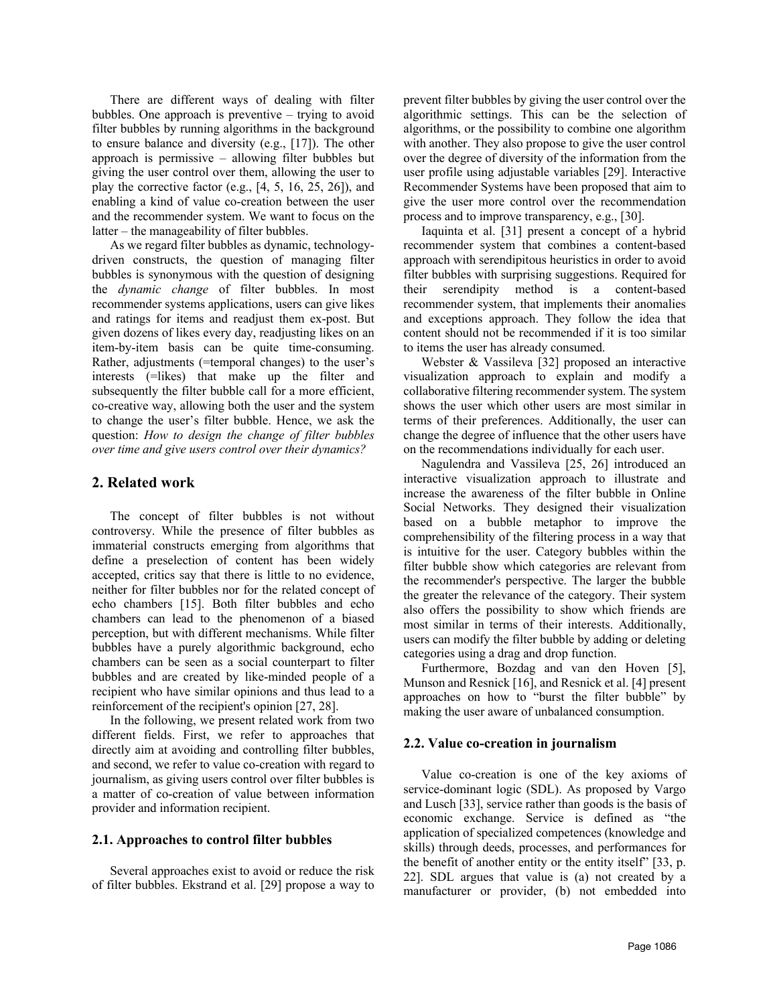There are different ways of dealing with filter bubbles. One approach is preventive – trying to avoid filter bubbles by running algorithms in the background to ensure balance and diversity (e.g., [17]). The other approach is permissive – allowing filter bubbles but giving the user control over them, allowing the user to play the corrective factor (e.g.,  $[4, 5, 16, 25, 26]$ ), and enabling a kind of value co-creation between the user and the recommender system. We want to focus on the latter – the manageability of filter bubbles.

As we regard filter bubbles as dynamic, technologydriven constructs, the question of managing filter bubbles is synonymous with the question of designing the *dynamic change* of filter bubbles. In most recommender systems applications, users can give likes and ratings for items and readjust them ex-post. But given dozens of likes every day, readjusting likes on an item-by-item basis can be quite time-consuming. Rather, adjustments (=temporal changes) to the user's interests (=likes) that make up the filter and subsequently the filter bubble call for a more efficient, co-creative way, allowing both the user and the system to change the user's filter bubble. Hence, we ask the question: *How to design the change of filter bubbles over time and give users control over their dynamics?*

## **2. Related work**

The concept of filter bubbles is not without controversy. While the presence of filter bubbles as immaterial constructs emerging from algorithms that define a preselection of content has been widely accepted, critics say that there is little to no evidence, neither for filter bubbles nor for the related concept of echo chambers [15]. Both filter bubbles and echo chambers can lead to the phenomenon of a biased perception, but with different mechanisms. While filter bubbles have a purely algorithmic background, echo chambers can be seen as a social counterpart to filter bubbles and are created by like-minded people of a recipient who have similar opinions and thus lead to a reinforcement of the recipient's opinion [27, 28].

In the following, we present related work from two different fields. First, we refer to approaches that directly aim at avoiding and controlling filter bubbles, and second, we refer to value co-creation with regard to journalism, as giving users control over filter bubbles is a matter of co-creation of value between information provider and information recipient.

## **2.1. Approaches to control filter bubbles**

Several approaches exist to avoid or reduce the risk of filter bubbles. Ekstrand et al. [29] propose a way to

prevent filter bubbles by giving the user control over the algorithmic settings. This can be the selection of algorithms, or the possibility to combine one algorithm with another. They also propose to give the user control over the degree of diversity of the information from the user profile using adjustable variables [29]. Interactive Recommender Systems have been proposed that aim to give the user more control over the recommendation process and to improve transparency, e.g., [30].

Iaquinta et al. [31] present a concept of a hybrid recommender system that combines a content-based approach with serendipitous heuristics in order to avoid filter bubbles with surprising suggestions. Required for their serendipity method is a content-based recommender system, that implements their anomalies and exceptions approach. They follow the idea that content should not be recommended if it is too similar to items the user has already consumed.

Webster & Vassileva [32] proposed an interactive visualization approach to explain and modify a collaborative filtering recommender system. The system shows the user which other users are most similar in terms of their preferences. Additionally, the user can change the degree of influence that the other users have on the recommendations individually for each user.

Nagulendra and Vassileva [25, 26] introduced an interactive visualization approach to illustrate and increase the awareness of the filter bubble in Online Social Networks. They designed their visualization based on a bubble metaphor to improve the comprehensibility of the filtering process in a way that is intuitive for the user. Category bubbles within the filter bubble show which categories are relevant from the recommender's perspective. The larger the bubble the greater the relevance of the category. Their system also offers the possibility to show which friends are most similar in terms of their interests. Additionally, users can modify the filter bubble by adding or deleting categories using a drag and drop function.

Furthermore, Bozdag and van den Hoven [5], Munson and Resnick [16], and Resnick et al. [4] present approaches on how to "burst the filter bubble" by making the user aware of unbalanced consumption.

## **2.2. Value co-creation in journalism**

Value co-creation is one of the key axioms of service-dominant logic (SDL). As proposed by Vargo and Lusch [33], service rather than goods is the basis of economic exchange. Service is defined as "the application of specialized competences (knowledge and skills) through deeds, processes, and performances for the benefit of another entity or the entity itself" [33, p. 22]. SDL argues that value is (a) not created by a manufacturer or provider, (b) not embedded into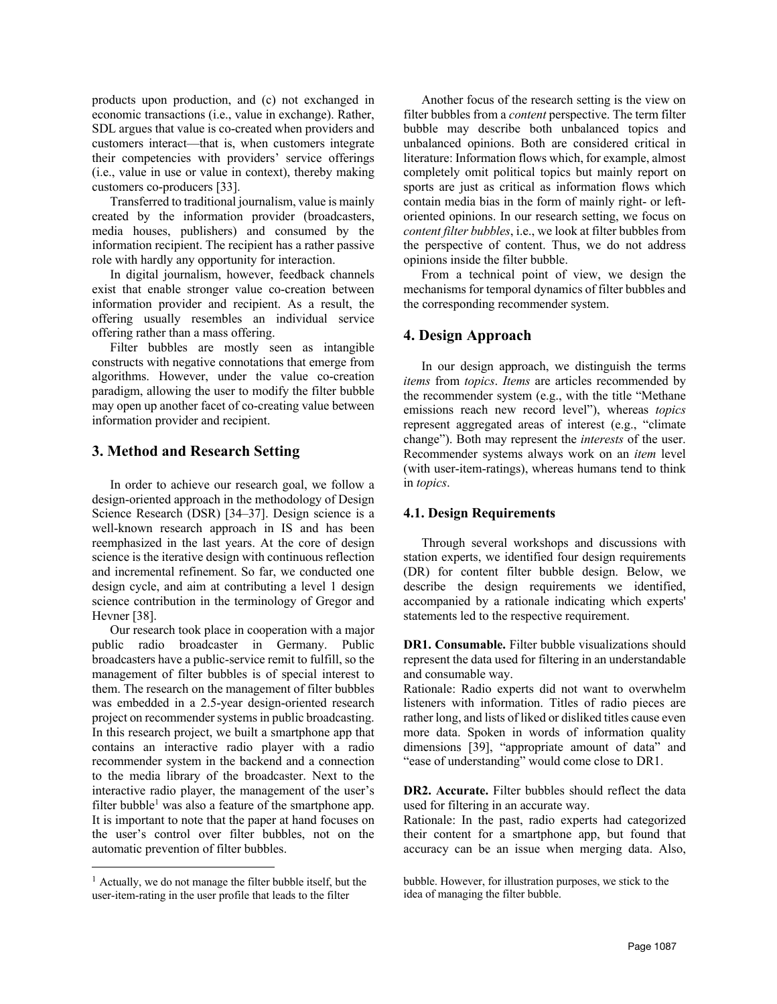products upon production, and (c) not exchanged in economic transactions (i.e., value in exchange). Rather, SDL argues that value is co-created when providers and customers interact—that is, when customers integrate their competencies with providers' service offerings (i.e., value in use or value in context), thereby making customers co-producers [33].

Transferred to traditional journalism, value is mainly created by the information provider (broadcasters, media houses, publishers) and consumed by the information recipient. The recipient has a rather passive role with hardly any opportunity for interaction.

In digital journalism, however, feedback channels exist that enable stronger value co-creation between information provider and recipient. As a result, the offering usually resembles an individual service offering rather than a mass offering.

Filter bubbles are mostly seen as intangible constructs with negative connotations that emerge from algorithms. However, under the value co-creation paradigm, allowing the user to modify the filter bubble may open up another facet of co-creating value between information provider and recipient.

## **3. Method and Research Setting**

In order to achieve our research goal, we follow a design-oriented approach in the methodology of Design Science Research (DSR) [34–37]. Design science is a well-known research approach in IS and has been reemphasized in the last years. At the core of design science is the iterative design with continuous reflection and incremental refinement. So far, we conducted one design cycle, and aim at contributing a level 1 design science contribution in the terminology of Gregor and Hevner [38].

Our research took place in cooperation with a major public radio broadcaster in Germany. Public broadcasters have a public-service remit to fulfill, so the management of filter bubbles is of special interest to them. The research on the management of filter bubbles was embedded in a 2.5-year design-oriented research project on recommender systems in public broadcasting. In this research project, we built a smartphone app that contains an interactive radio player with a radio recommender system in the backend and a connection to the media library of the broadcaster. Next to the interactive radio player, the management of the user's filter bubble<sup>1</sup> was also a feature of the smartphone app. It is important to note that the paper at hand focuses on the user's control over filter bubbles, not on the automatic prevention of filter bubbles.

Another focus of the research setting is the view on filter bubbles from a *content* perspective. The term filter bubble may describe both unbalanced topics and unbalanced opinions. Both are considered critical in literature: Information flows which, for example, almost completely omit political topics but mainly report on sports are just as critical as information flows which contain media bias in the form of mainly right- or leftoriented opinions. In our research setting, we focus on *content filter bubbles*, i.e., we look at filter bubbles from the perspective of content. Thus, we do not address opinions inside the filter bubble.

From a technical point of view, we design the mechanisms for temporal dynamics of filter bubbles and the corresponding recommender system.

## **4. Design Approach**

In our design approach, we distinguish the terms *items* from *topics*. *Items* are articles recommended by the recommender system (e.g., with the title "Methane emissions reach new record level"), whereas *topics* represent aggregated areas of interest (e.g., "climate change"). Both may represent the *interests* of the user. Recommender systems always work on an *item* level (with user-item-ratings), whereas humans tend to think in *topics*.

#### **4.1. Design Requirements**

Through several workshops and discussions with station experts, we identified four design requirements (DR) for content filter bubble design. Below, we describe the design requirements we identified, accompanied by a rationale indicating which experts' statements led to the respective requirement.

**DR1. Consumable.** Filter bubble visualizations should represent the data used for filtering in an understandable and consumable way.

Rationale: Radio experts did not want to overwhelm listeners with information. Titles of radio pieces are rather long, and lists of liked or disliked titles cause even more data. Spoken in words of information quality dimensions [39], "appropriate amount of data" and "ease of understanding" would come close to DR1.

**DR2. Accurate.** Filter bubbles should reflect the data used for filtering in an accurate way.

Rationale: In the past, radio experts had categorized their content for a smartphone app, but found that accuracy can be an issue when merging data. Also,

 $<sup>1</sup>$  Actually, we do not manage the filter bubble itself, but the</sup> user-item-rating in the user profile that leads to the filter

bubble. However, for illustration purposes, we stick to the idea of managing the filter bubble.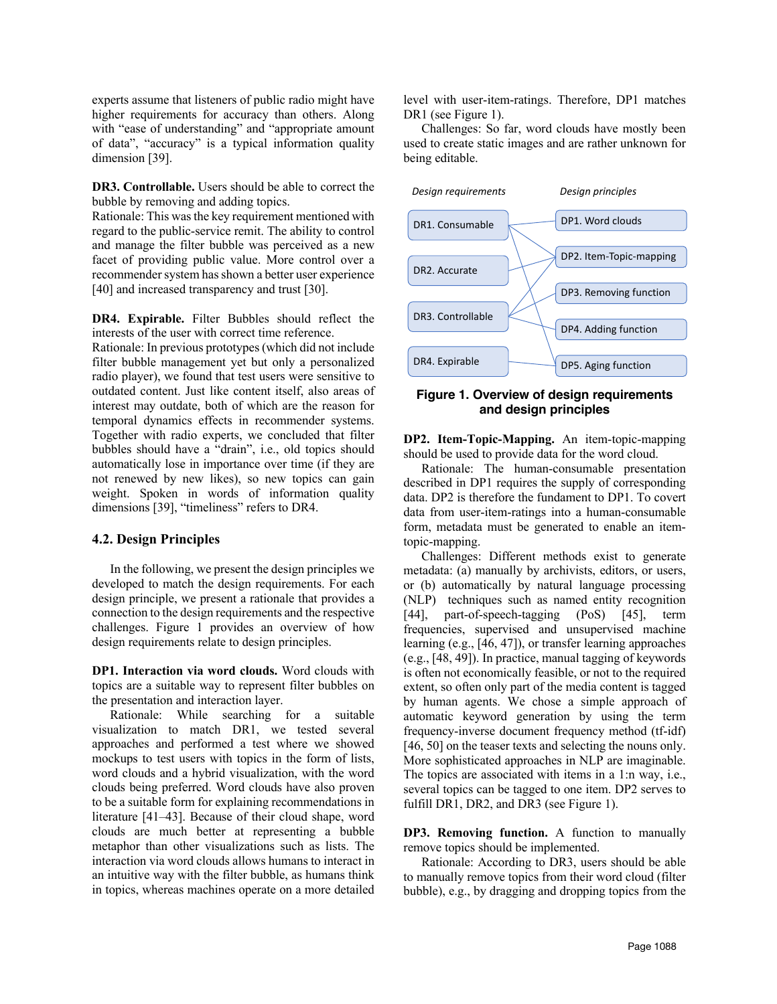experts assume that listeners of public radio might have higher requirements for accuracy than others. Along with "ease of understanding" and "appropriate amount of data", "accuracy" is a typical information quality dimension [39].

**DR3. Controllable.** Users should be able to correct the bubble by removing and adding topics.

Rationale: This was the key requirement mentioned with regard to the public-service remit. The ability to control and manage the filter bubble was perceived as a new facet of providing public value. More control over a recommender system has shown a better user experience [40] and increased transparency and trust [30].

**DR4. Expirable.** Filter Bubbles should reflect the interests of the user with correct time reference.

Rationale: In previous prototypes (which did not include filter bubble management yet but only a personalized radio player), we found that test users were sensitive to outdated content. Just like content itself, also areas of interest may outdate, both of which are the reason for temporal dynamics effects in recommender systems. Together with radio experts, we concluded that filter bubbles should have a "drain", i.e., old topics should automatically lose in importance over time (if they are not renewed by new likes), so new topics can gain weight. Spoken in words of information quality dimensions [39], "timeliness" refers to DR4.

#### **4.2. Design Principles**

In the following, we present the design principles we developed to match the design requirements. For each design principle, we present a rationale that provides a connection to the design requirements and the respective challenges. Figure 1 provides an overview of how design requirements relate to design principles.

**DP1. Interaction via word clouds.** Word clouds with topics are a suitable way to represent filter bubbles on the presentation and interaction layer.

Rationale: While searching for a suitable visualization to match DR1, we tested several approaches and performed a test where we showed mockups to test users with topics in the form of lists, word clouds and a hybrid visualization, with the word clouds being preferred. Word clouds have also proven to be a suitable form for explaining recommendations in literature [41–43]. Because of their cloud shape, word clouds are much better at representing a bubble metaphor than other visualizations such as lists. The interaction via word clouds allows humans to interact in an intuitive way with the filter bubble, as humans think in topics, whereas machines operate on a more detailed

level with user-item-ratings. Therefore, DP1 matches DR1 (see Figure 1).

Challenges: So far, word clouds have mostly been used to create static images and are rather unknown for being editable.



#### **Figure 1. Overview of design requirements and design principles**

**DP2. Item-Topic-Mapping.** An item-topic-mapping should be used to provide data for the word cloud.

Rationale: The human-consumable presentation described in DP1 requires the supply of corresponding data. DP2 is therefore the fundament to DP1. To covert data from user-item-ratings into a human-consumable form, metadata must be generated to enable an itemtopic-mapping.

Challenges: Different methods exist to generate metadata: (a) manually by archivists, editors, or users, or (b) automatically by natural language processing (NLP) techniques such as named entity recognition [44], part-of-speech-tagging (PoS) [45], term frequencies, supervised and unsupervised machine learning (e.g., [46, 47]), or transfer learning approaches (e.g., [48, 49]). In practice, manual tagging of keywords is often not economically feasible, or not to the required extent, so often only part of the media content is tagged by human agents. We chose a simple approach of automatic keyword generation by using the term frequency-inverse document frequency method (tf-idf) [46, 50] on the teaser texts and selecting the nouns only. More sophisticated approaches in NLP are imaginable. The topics are associated with items in a 1:n way, i.e., several topics can be tagged to one item. DP2 serves to fulfill DR1, DR2, and DR3 (see Figure 1).

**DP3. Removing function.** A function to manually remove topics should be implemented.

Rationale: According to DR3, users should be able to manually remove topics from their word cloud (filter bubble), e.g., by dragging and dropping topics from the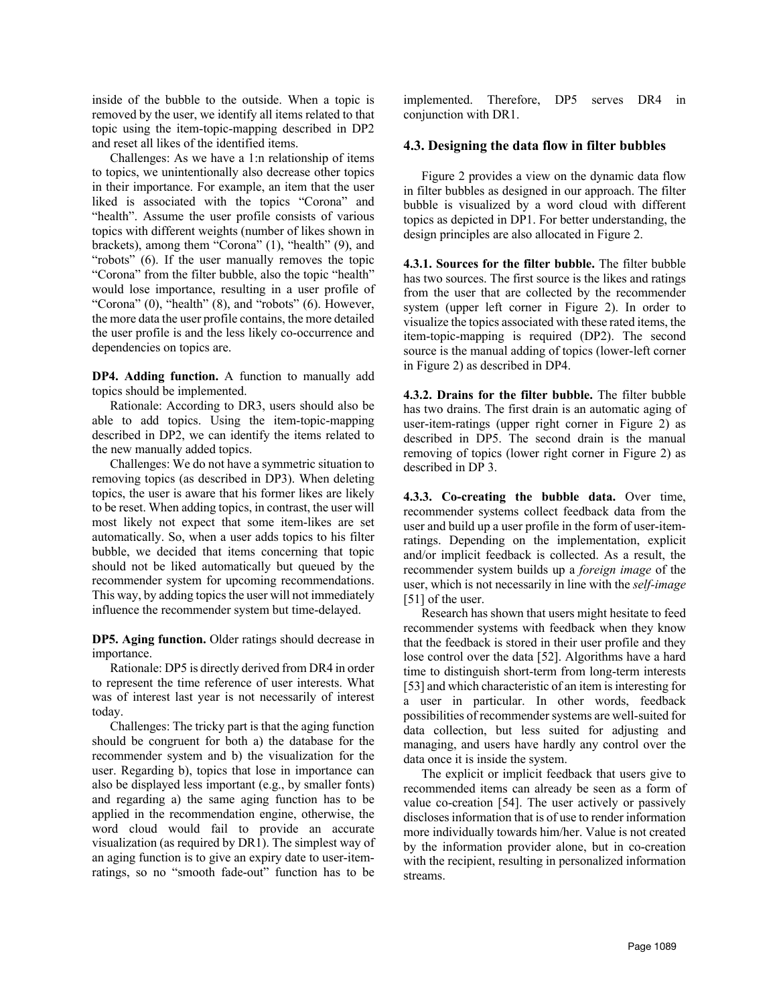inside of the bubble to the outside. When a topic is removed by the user, we identify all items related to that topic using the item-topic-mapping described in DP2 and reset all likes of the identified items.

Challenges: As we have a 1:n relationship of items to topics, we unintentionally also decrease other topics in their importance. For example, an item that the user liked is associated with the topics "Corona" and "health". Assume the user profile consists of various topics with different weights (number of likes shown in brackets), among them "Corona" (1), "health" (9), and "robots" (6). If the user manually removes the topic "Corona" from the filter bubble, also the topic "health" would lose importance, resulting in a user profile of "Corona"  $(0)$ , "health"  $(8)$ , and "robots"  $(6)$ . However, the more data the user profile contains, the more detailed the user profile is and the less likely co-occurrence and dependencies on topics are.

**DP4. Adding function.** A function to manually add topics should be implemented.

Rationale: According to DR3, users should also be able to add topics. Using the item-topic-mapping described in DP2, we can identify the items related to the new manually added topics.

Challenges: We do not have a symmetric situation to removing topics (as described in DP3). When deleting topics, the user is aware that his former likes are likely to be reset. When adding topics, in contrast, the user will most likely not expect that some item-likes are set automatically. So, when a user adds topics to his filter bubble, we decided that items concerning that topic should not be liked automatically but queued by the recommender system for upcoming recommendations. This way, by adding topics the user will not immediately influence the recommender system but time-delayed.

**DP5. Aging function.** Older ratings should decrease in importance.

Rationale: DP5 is directly derived from DR4 in order to represent the time reference of user interests. What was of interest last year is not necessarily of interest today.

Challenges: The tricky part is that the aging function should be congruent for both a) the database for the recommender system and b) the visualization for the user. Regarding b), topics that lose in importance can also be displayed less important (e.g., by smaller fonts) and regarding a) the same aging function has to be applied in the recommendation engine, otherwise, the word cloud would fail to provide an accurate visualization (as required by DR1). The simplest way of an aging function is to give an expiry date to user-itemratings, so no "smooth fade-out" function has to be

implemented. Therefore, DP5 serves DR4 in conjunction with DR1.

#### **4.3. Designing the data flow in filter bubbles**

Figure 2 provides a view on the dynamic data flow in filter bubbles as designed in our approach. The filter bubble is visualized by a word cloud with different topics as depicted in DP1. For better understanding, the design principles are also allocated in Figure 2.

**4.3.1. Sources for the filter bubble.** The filter bubble has two sources. The first source is the likes and ratings from the user that are collected by the recommender system (upper left corner in Figure 2). In order to visualize the topics associated with these rated items, the item-topic-mapping is required (DP2). The second source is the manual adding of topics (lower-left corner in Figure 2) as described in DP4.

**4.3.2. Drains for the filter bubble.** The filter bubble has two drains. The first drain is an automatic aging of user-item-ratings (upper right corner in Figure 2) as described in DP5. The second drain is the manual removing of topics (lower right corner in Figure 2) as described in DP 3.

**4.3.3. Co-creating the bubble data.** Over time, recommender systems collect feedback data from the user and build up a user profile in the form of user-itemratings. Depending on the implementation, explicit and/or implicit feedback is collected. As a result, the recommender system builds up a *foreign image* of the user, which is not necessarily in line with the *self-image* [51] of the user.

Research has shown that users might hesitate to feed recommender systems with feedback when they know that the feedback is stored in their user profile and they lose control over the data [52]. Algorithms have a hard time to distinguish short-term from long-term interests [53] and which characteristic of an item is interesting for a user in particular. In other words, feedback possibilities of recommender systems are well-suited for data collection, but less suited for adjusting and managing, and users have hardly any control over the data once it is inside the system.

The explicit or implicit feedback that users give to recommended items can already be seen as a form of value co-creation [54]. The user actively or passively discloses information that is of use to render information more individually towards him/her. Value is not created by the information provider alone, but in co-creation with the recipient, resulting in personalized information streams.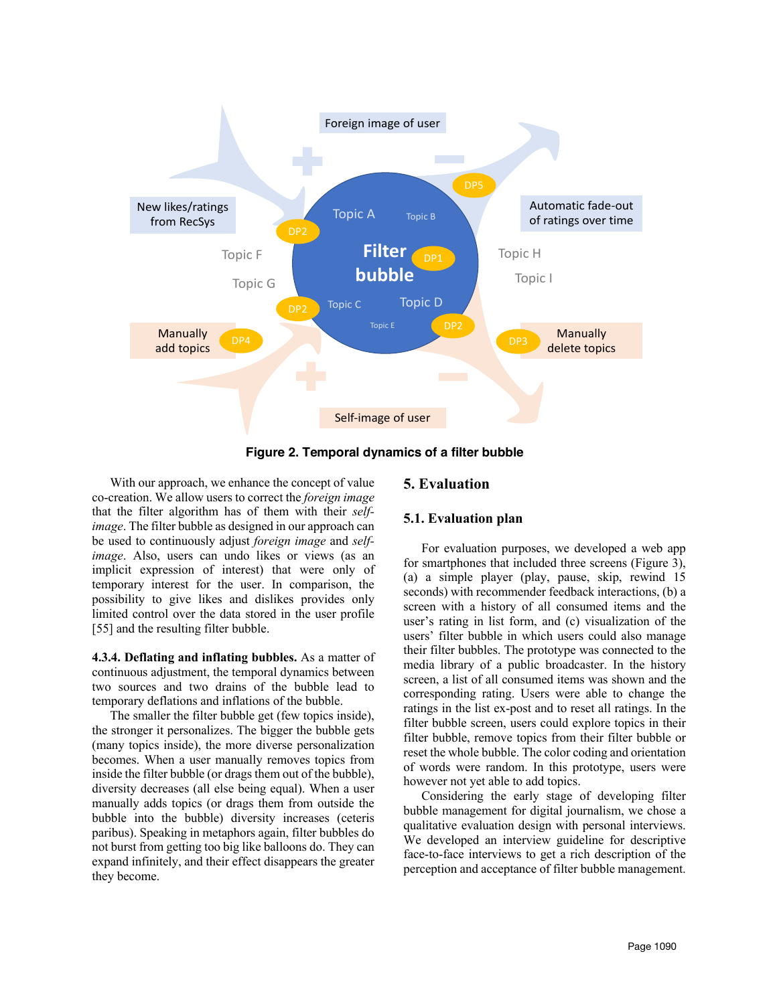

**Figure 2. Temporal dynamics of a filter bubble**

With our approach, we enhance the concept of value co-creation. We allow users to correct the *foreign image* that the filter algorithm has of them with their *selfimage*. The filter bubble as designed in our approach can be used to continuously adjust *foreign image* and *selfimage*. Also, users can undo likes or views (as an implicit expression of interest) that were only of temporary interest for the user. In comparison, the possibility to give likes and dislikes provides only limited control over the data stored in the user profile [55] and the resulting filter bubble.

**4.3.4. Deflating and inflating bubbles.** As a matter of continuous adjustment, the temporal dynamics between two sources and two drains of the bubble lead to temporary deflations and inflations of the bubble.

The smaller the filter bubble get (few topics inside), the stronger it personalizes. The bigger the bubble gets (many topics inside), the more diverse personalization becomes. When a user manually removes topics from inside the filter bubble (or drags them out of the bubble), diversity decreases (all else being equal). When a user manually adds topics (or drags them from outside the bubble into the bubble) diversity increases (ceteris paribus). Speaking in metaphors again, filter bubbles do not burst from getting too big like balloons do. They can expand infinitely, and their effect disappears the greater they become.

# **5. Evaluation**

## **5.1. Evaluation plan**

For evaluation purposes, we developed a web app for smartphones that included three screens (Figure 3), (a) a simple player (play, pause, skip, rewind 15 seconds) with recommender feedback interactions, (b) a screen with a history of all consumed items and the user's rating in list form, and (c) visualization of the users' filter bubble in which users could also manage their filter bubbles. The prototype was connected to the media library of a public broadcaster. In the history screen, a list of all consumed items was shown and the corresponding rating. Users were able to change the ratings in the list ex-post and to reset all ratings. In the filter bubble screen, users could explore topics in their filter bubble, remove topics from their filter bubble or reset the whole bubble. The color coding and orientation of words were random. In this prototype, users were however not yet able to add topics.

Considering the early stage of developing filter bubble management for digital journalism, we chose a qualitative evaluation design with personal interviews. We developed an interview guideline for descriptive face-to-face interviews to get a rich description of the perception and acceptance of filter bubble management.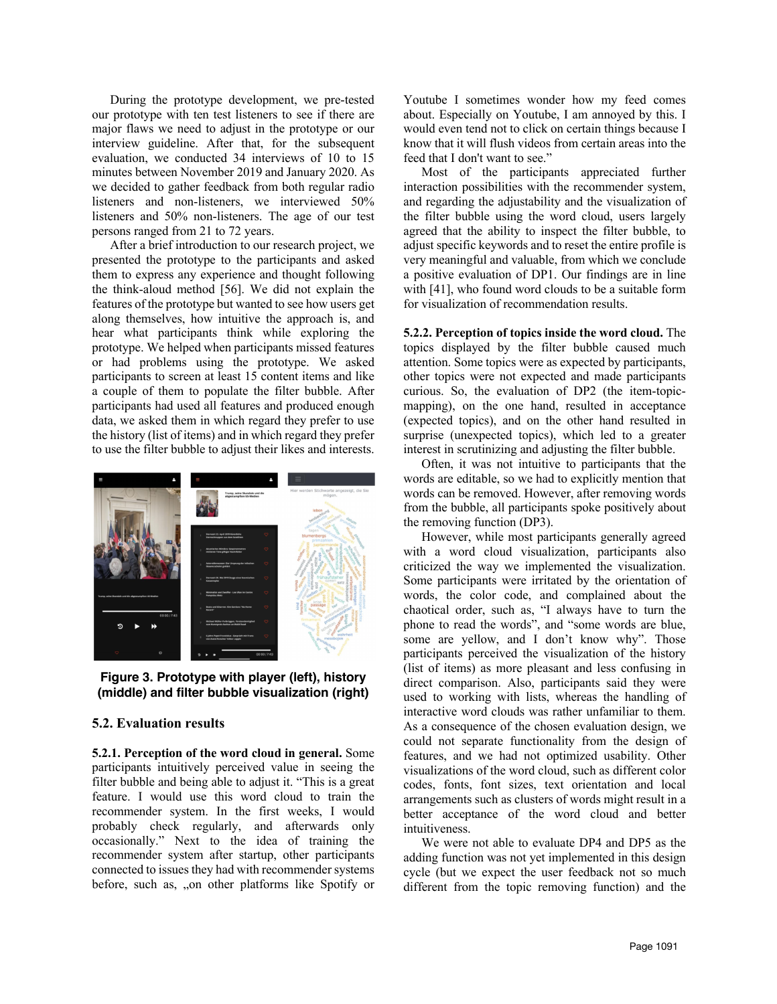During the prototype development, we pre-tested our prototype with ten test listeners to see if there are major flaws we need to adjust in the prototype or our interview guideline. After that, for the subsequent evaluation, we conducted 34 interviews of 10 to 15 minutes between November 2019 and January 2020. As we decided to gather feedback from both regular radio listeners and non-listeners, we interviewed 50% listeners and 50% non-listeners. The age of our test persons ranged from 21 to 72 years.

After a brief introduction to our research project, we presented the prototype to the participants and asked them to express any experience and thought following the think-aloud method [56]. We did not explain the features of the prototype but wanted to see how users get along themselves, how intuitive the approach is, and hear what participants think while exploring the prototype. We helped when participants missed features or had problems using the prototype. We asked participants to screen at least 15 content items and like a couple of them to populate the filter bubble. After participants had used all features and produced enough data, we asked them in which regard they prefer to use the history (list of items) and in which regard they prefer to use the filter bubble to adjust their likes and interests.



**Figure 3. Prototype with player (left), history (middle) and filter bubble visualization (right)**

#### **5.2. Evaluation results**

**5.2.1. Perception of the word cloud in general.** Some participants intuitively perceived value in seeing the filter bubble and being able to adjust it. "This is a great feature. I would use this word cloud to train the recommender system. In the first weeks, I would probably check regularly, and afterwards only occasionally." Next to the idea of training the recommender system after startup, other participants connected to issues they had with recommender systems before, such as, "on other platforms like Spotify or Youtube I sometimes wonder how my feed comes about. Especially on Youtube, I am annoyed by this. I would even tend not to click on certain things because I know that it will flush videos from certain areas into the feed that I don't want to see."

Most of the participants appreciated further interaction possibilities with the recommender system, and regarding the adjustability and the visualization of the filter bubble using the word cloud, users largely agreed that the ability to inspect the filter bubble, to adjust specific keywords and to reset the entire profile is very meaningful and valuable, from which we conclude a positive evaluation of DP1. Our findings are in line with [41], who found word clouds to be a suitable form for visualization of recommendation results.

**5.2.2. Perception of topics inside the word cloud.** The topics displayed by the filter bubble caused much attention. Some topics were as expected by participants, other topics were not expected and made participants curious. So, the evaluation of DP2 (the item-topicmapping), on the one hand, resulted in acceptance (expected topics), and on the other hand resulted in surprise (unexpected topics), which led to a greater interest in scrutinizing and adjusting the filter bubble.

Often, it was not intuitive to participants that the words are editable, so we had to explicitly mention that words can be removed. However, after removing words from the bubble, all participants spoke positively about the removing function (DP3).

However, while most participants generally agreed with a word cloud visualization, participants also criticized the way we implemented the visualization. Some participants were irritated by the orientation of words, the color code, and complained about the chaotical order, such as, "I always have to turn the phone to read the words", and "some words are blue, some are yellow, and I don't know why". Those participants perceived the visualization of the history (list of items) as more pleasant and less confusing in direct comparison. Also, participants said they were used to working with lists, whereas the handling of interactive word clouds was rather unfamiliar to them. As a consequence of the chosen evaluation design, we could not separate functionality from the design of features, and we had not optimized usability. Other visualizations of the word cloud, such as different color codes, fonts, font sizes, text orientation and local arrangements such as clusters of words might result in a better acceptance of the word cloud and better intuitiveness.

We were not able to evaluate DP4 and DP5 as the adding function was not yet implemented in this design cycle (but we expect the user feedback not so much different from the topic removing function) and the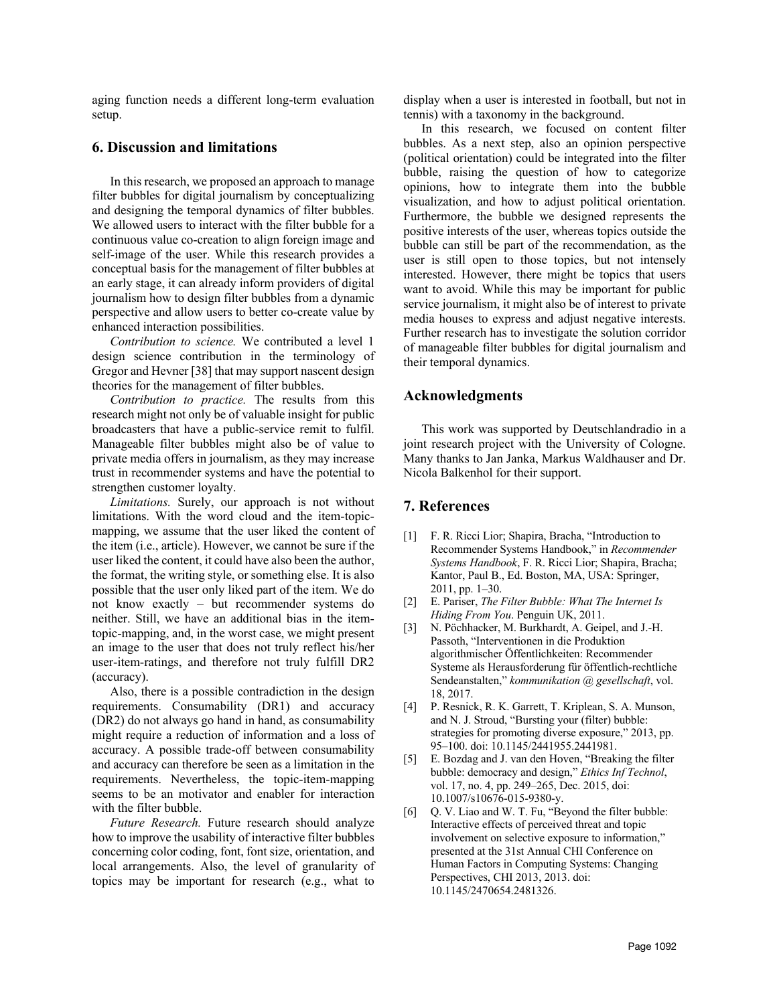aging function needs a different long-term evaluation setup.

### **6. Discussion and limitations**

In this research, we proposed an approach to manage filter bubbles for digital journalism by conceptualizing and designing the temporal dynamics of filter bubbles. We allowed users to interact with the filter bubble for a continuous value co-creation to align foreign image and self-image of the user. While this research provides a conceptual basis for the management of filter bubbles at an early stage, it can already inform providers of digital journalism how to design filter bubbles from a dynamic perspective and allow users to better co-create value by enhanced interaction possibilities.

*Contribution to science.* We contributed a level 1 design science contribution in the terminology of Gregor and Hevner [38] that may support nascent design theories for the management of filter bubbles.

*Contribution to practice.* The results from this research might not only be of valuable insight for public broadcasters that have a public-service remit to fulfil. Manageable filter bubbles might also be of value to private media offers in journalism, as they may increase trust in recommender systems and have the potential to strengthen customer loyalty.

*Limitations.* Surely, our approach is not without limitations. With the word cloud and the item-topicmapping, we assume that the user liked the content of the item (i.e., article). However, we cannot be sure if the user liked the content, it could have also been the author, the format, the writing style, or something else. It is also possible that the user only liked part of the item. We do not know exactly – but recommender systems do neither. Still, we have an additional bias in the itemtopic-mapping, and, in the worst case, we might present an image to the user that does not truly reflect his/her user-item-ratings, and therefore not truly fulfill DR2 (accuracy).

Also, there is a possible contradiction in the design requirements. Consumability (DR1) and accuracy (DR2) do not always go hand in hand, as consumability might require a reduction of information and a loss of accuracy. A possible trade-off between consumability and accuracy can therefore be seen as a limitation in the requirements. Nevertheless, the topic-item-mapping seems to be an motivator and enabler for interaction with the filter bubble.

*Future Research.* Future research should analyze how to improve the usability of interactive filter bubbles concerning color coding, font, font size, orientation, and local arrangements. Also, the level of granularity of topics may be important for research (e.g., what to

display when a user is interested in football, but not in tennis) with a taxonomy in the background.

In this research, we focused on content filter bubbles. As a next step, also an opinion perspective (political orientation) could be integrated into the filter bubble, raising the question of how to categorize opinions, how to integrate them into the bubble visualization, and how to adjust political orientation. Furthermore, the bubble we designed represents the positive interests of the user, whereas topics outside the bubble can still be part of the recommendation, as the user is still open to those topics, but not intensely interested. However, there might be topics that users want to avoid. While this may be important for public service journalism, it might also be of interest to private media houses to express and adjust negative interests. Further research has to investigate the solution corridor of manageable filter bubbles for digital journalism and their temporal dynamics.

## **Acknowledgments**

This work was supported by Deutschlandradio in a joint research project with the University of Cologne. Many thanks to Jan Janka, Markus Waldhauser and Dr. Nicola Balkenhol for their support.

#### **7. References**

- [1] F. R. Ricci Lior; Shapira, Bracha, "Introduction to Recommender Systems Handbook," in *Recommender Systems Handbook*, F. R. Ricci Lior; Shapira, Bracha; Kantor, Paul B., Ed. Boston, MA, USA: Springer, 2011, pp. 1–30.
- [2] E. Pariser, *The Filter Bubble: What The Internet Is Hiding From You*. Penguin UK, 2011.
- [3] N. Pöchhacker, M. Burkhardt, A. Geipel, and J.-H. Passoth, "Interventionen in die Produktion algorithmischer Öffentlichkeiten: Recommender Systeme als Herausforderung für öffentlich-rechtliche Sendeanstalten," *kommunikation @ gesellschaft*, vol. 18, 2017.
- [4] P. Resnick, R. K. Garrett, T. Kriplean, S. A. Munson, and N. J. Stroud, "Bursting your (filter) bubble: strategies for promoting diverse exposure," 2013, pp. 95–100. doi: 10.1145/2441955.2441981.
- [5] E. Bozdag and J. van den Hoven, "Breaking the filter bubble: democracy and design," *Ethics Inf Technol*, vol. 17, no. 4, pp. 249–265, Dec. 2015, doi: 10.1007/s10676-015-9380-y.
- [6] Q. V. Liao and W. T. Fu, "Beyond the filter bubble: Interactive effects of perceived threat and topic involvement on selective exposure to information," presented at the 31st Annual CHI Conference on Human Factors in Computing Systems: Changing Perspectives, CHI 2013, 2013. doi: 10.1145/2470654.2481326.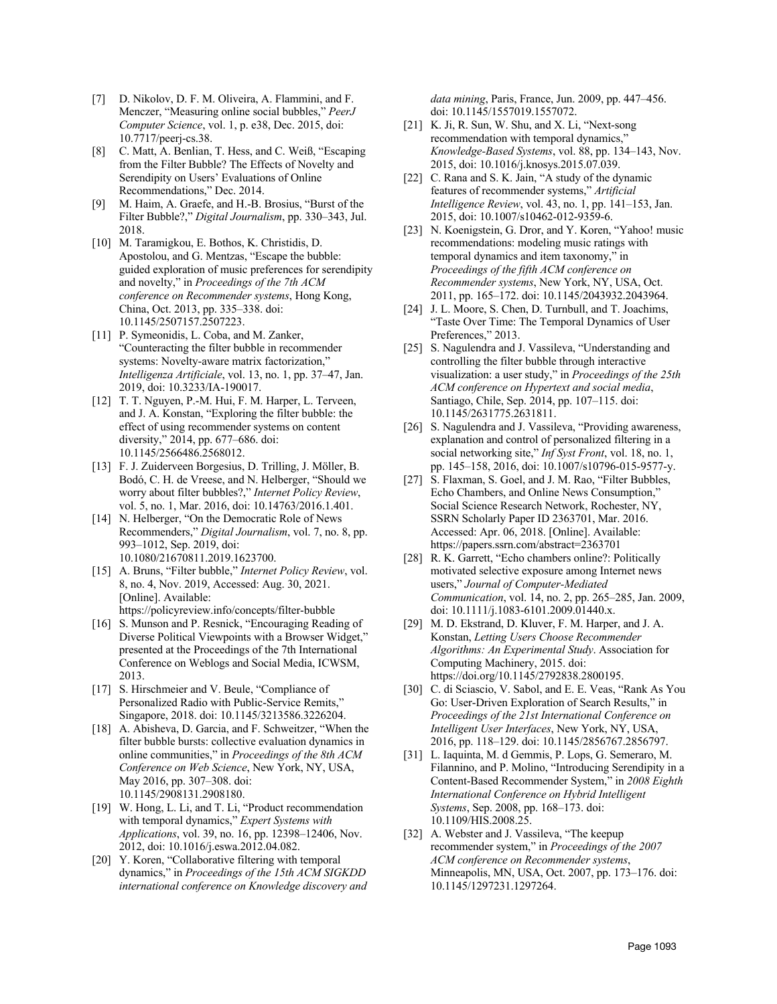- [7] D. Nikolov, D. F. M. Oliveira, A. Flammini, and F. Menczer, "Measuring online social bubbles," *PeerJ Computer Science*, vol. 1, p. e38, Dec. 2015, doi: 10.7717/peerj-cs.38.
- [8] C. Matt, A. Benlian, T. Hess, and C. Weiß, "Escaping from the Filter Bubble? The Effects of Novelty and Serendipity on Users' Evaluations of Online Recommendations," Dec. 2014.
- [9] M. Haim, A. Graefe, and H.-B. Brosius, "Burst of the Filter Bubble?," *Digital Journalism*, pp. 330–343, Jul. 2018.
- [10] M. Taramigkou, E. Bothos, K. Christidis, D. Apostolou, and G. Mentzas, "Escape the bubble: guided exploration of music preferences for serendipity and novelty," in *Proceedings of the 7th ACM conference on Recommender systems*, Hong Kong, China, Oct. 2013, pp. 335–338. doi: 10.1145/2507157.2507223.
- [11] P. Symeonidis, L. Coba, and M. Zanker, "Counteracting the filter bubble in recommender systems: Novelty-aware matrix factorization," *Intelligenza Artificiale*, vol. 13, no. 1, pp. 37–47, Jan. 2019, doi: 10.3233/IA-190017.
- [12] T. T. Nguyen, P.-M. Hui, F. M. Harper, L. Terveen, and J. A. Konstan, "Exploring the filter bubble: the effect of using recommender systems on content diversity," 2014, pp. 677–686. doi: 10.1145/2566486.2568012.
- [13] F. J. Zuiderveen Borgesius, D. Trilling, J. Möller, B. Bodó, C. H. de Vreese, and N. Helberger, "Should we worry about filter bubbles?," *Internet Policy Review*, vol. 5, no. 1, Mar. 2016, doi: 10.14763/2016.1.401.
- [14] N. Helberger, "On the Democratic Role of News Recommenders," *Digital Journalism*, vol. 7, no. 8, pp. 993–1012, Sep. 2019, doi: 10.1080/21670811.2019.1623700.
- [15] A. Bruns, "Filter bubble," *Internet Policy Review*, vol. 8, no. 4, Nov. 2019, Accessed: Aug. 30, 2021. [Online]. Available: https://policyreview.info/concepts/filter-bubble
- [16] S. Munson and P. Resnick, "Encouraging Reading of Diverse Political Viewpoints with a Browser Widget," presented at the Proceedings of the 7th International Conference on Weblogs and Social Media, ICWSM, 2013.
- [17] S. Hirschmeier and V. Beule, "Compliance of Personalized Radio with Public-Service Remits," Singapore, 2018. doi: 10.1145/3213586.3226204.
- [18] A. Abisheva, D. Garcia, and F. Schweitzer, "When the filter bubble bursts: collective evaluation dynamics in online communities," in *Proceedings of the 8th ACM Conference on Web Science*, New York, NY, USA, May 2016, pp. 307–308. doi: 10.1145/2908131.2908180.
- [19] W. Hong, L. Li, and T. Li, "Product recommendation with temporal dynamics," *Expert Systems with Applications*, vol. 39, no. 16, pp. 12398–12406, Nov. 2012, doi: 10.1016/j.eswa.2012.04.082.
- [20] Y. Koren, "Collaborative filtering with temporal dynamics," in *Proceedings of the 15th ACM SIGKDD international conference on Knowledge discovery and*

*data mining*, Paris, France, Jun. 2009, pp. 447–456. doi: 10.1145/1557019.1557072.

- [21] K. Ji, R. Sun, W. Shu, and X. Li, "Next-song recommendation with temporal dynamics," *Knowledge-Based Systems*, vol. 88, pp. 134–143, Nov. 2015, doi: 10.1016/j.knosys.2015.07.039.
- [22] C. Rana and S. K. Jain, "A study of the dynamic features of recommender systems," *Artificial Intelligence Review*, vol. 43, no. 1, pp. 141–153, Jan. 2015, doi: 10.1007/s10462-012-9359-6.
- [23] N. Koenigstein, G. Dror, and Y. Koren, "Yahoo! music recommendations: modeling music ratings with temporal dynamics and item taxonomy," in *Proceedings of the fifth ACM conference on Recommender systems*, New York, NY, USA, Oct. 2011, pp. 165–172. doi: 10.1145/2043932.2043964.
- [24] J. L. Moore, S. Chen, D. Turnbull, and T. Joachims, "Taste Over Time: The Temporal Dynamics of User Preferences," 2013.
- [25] S. Nagulendra and J. Vassileva, "Understanding and controlling the filter bubble through interactive visualization: a user study," in *Proceedings of the 25th ACM conference on Hypertext and social media*, Santiago, Chile, Sep. 2014, pp. 107–115. doi: 10.1145/2631775.2631811.
- [26] S. Nagulendra and J. Vassileva, "Providing awareness, explanation and control of personalized filtering in a social networking site," *Inf Syst Front*, vol. 18, no. 1, pp. 145–158, 2016, doi: 10.1007/s10796-015-9577-y.
- [27] S. Flaxman, S. Goel, and J. M. Rao, "Filter Bubbles, Echo Chambers, and Online News Consumption," Social Science Research Network, Rochester, NY, SSRN Scholarly Paper ID 2363701, Mar. 2016. Accessed: Apr. 06, 2018. [Online]. Available: https://papers.ssrn.com/abstract=2363701
- [28] R. K. Garrett, "Echo chambers online?: Politically motivated selective exposure among Internet news users," *Journal of Computer-Mediated Communication*, vol. 14, no. 2, pp. 265–285, Jan. 2009, doi: 10.1111/j.1083-6101.2009.01440.x.
- [29] M. D. Ekstrand, D. Kluver, F. M. Harper, and J. A. Konstan, *Letting Users Choose Recommender Algorithms: An Experimental Study*. Association for Computing Machinery, 2015. doi: https://doi.org/10.1145/2792838.2800195.
- [30] C. di Sciascio, V. Sabol, and E. E. Veas, "Rank As You Go: User-Driven Exploration of Search Results," in *Proceedings of the 21st International Conference on Intelligent User Interfaces*, New York, NY, USA, 2016, pp. 118–129. doi: 10.1145/2856767.2856797.
- [31] L. Iaquinta, M. d Gemmis, P. Lops, G. Semeraro, M. Filannino, and P. Molino, "Introducing Serendipity in a Content-Based Recommender System," in *2008 Eighth International Conference on Hybrid Intelligent Systems*, Sep. 2008, pp. 168–173. doi: 10.1109/HIS.2008.25.
- [32] A. Webster and J. Vassileva, "The keepup" recommender system," in *Proceedings of the 2007 ACM conference on Recommender systems*, Minneapolis, MN, USA, Oct. 2007, pp. 173–176. doi: 10.1145/1297231.1297264.